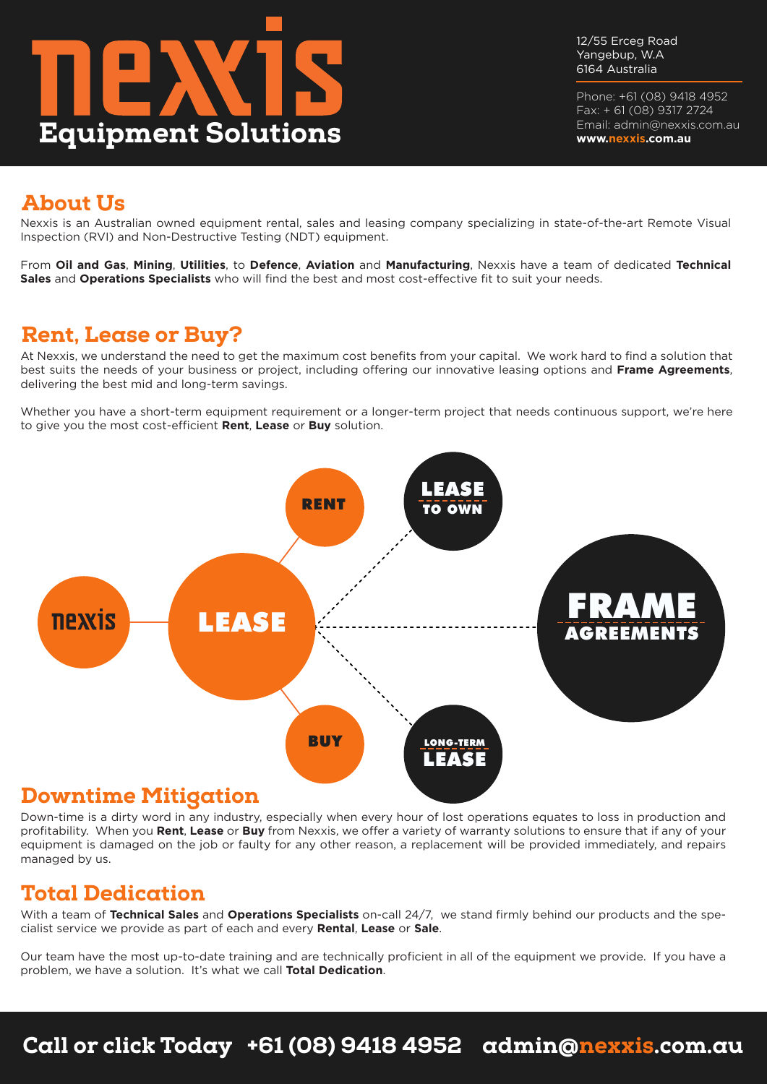

12/55 Erceg Road Yangebup, W.A 6164 Australia

Phone: +61 (08) 9418 4952 Fax: + 61 (08) 9317 2724 Email: admin@nexxis.com.au **www.nexxis.com.au**

## About Us

Nexxis is an Australian owned equipment rental, sales and leasing company specializing in state-of-the-art Remote Visual Inspection (RVI) and Non-Destructive Testing (NDT) equipment.

From **Oil and Gas**, **Mining**, **Utilities**, to **Defence**, **Aviation** and **Manufacturing**, Nexxis have a team of dedicated **Technical Sales** and **Operations Specialists** who will find the best and most cost-effective fit to suit your needs.

### Rent, Lease or Buy?

At Nexxis, we understand the need to get the maximum cost benefits from your capital. We work hard to find a solution that best suits the needs of your business or project, including offering our innovative leasing options and **Frame Agreements**, delivering the best mid and long-term savings.

Whether you have a short-term equipment requirement or a longer-term project that needs continuous support, we're here to give you the most cost-efficient **Rent**, **Lease** or **Buy** solution.



Down-time is a dirty word in any industry, especially when every hour of lost operations equates to loss in production and profitability. When you **Rent**, **Lease** or **Buy** from Nexxis, we offer a variety of warranty solutions to ensure that if any of your equipment is damaged on the job or faulty for any other reason, a replacement will be provided immediately, and repairs managed by us.

### Total Dedication

With a team of **Technical Sales** and **Operations Specialists** on-call 24/7, we stand firmly behind our products and the specialist service we provide as part of each and every **Rental**, **Lease** or **Sale**.

Our team have the most up-to-date training and are technically proficient in all of the equipment we provide. If you have a problem, we have a solution. It's what we call **Total Dedication**.